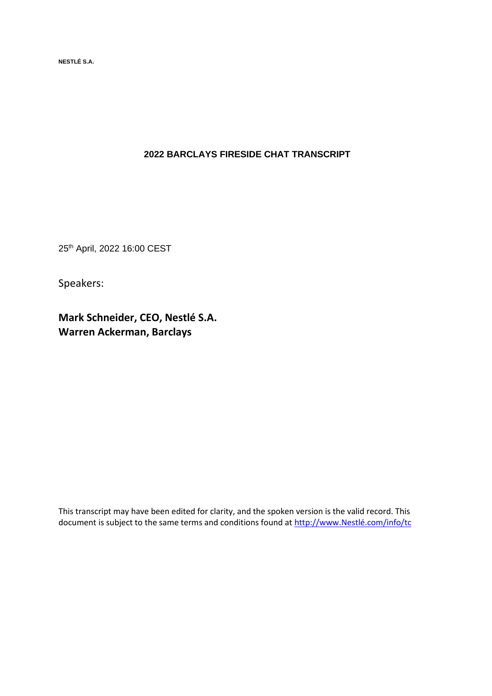**NESTLÉ S.A.** 

# **2022 BARCLAYS FIRESIDE CHAT TRANSCRIPT**

25th April, 2022 16:00 CEST

Speakers:

**Mark Schneider, CEO, Nestlé S.A. Warren Ackerman, Barclays**

This transcript may have been edited for clarity, and the spoken version is the valid record. This document is subject to the same terms and conditions found at [http://www.Nestlé.com/info/tc](http://www.nestle.com/info/tc)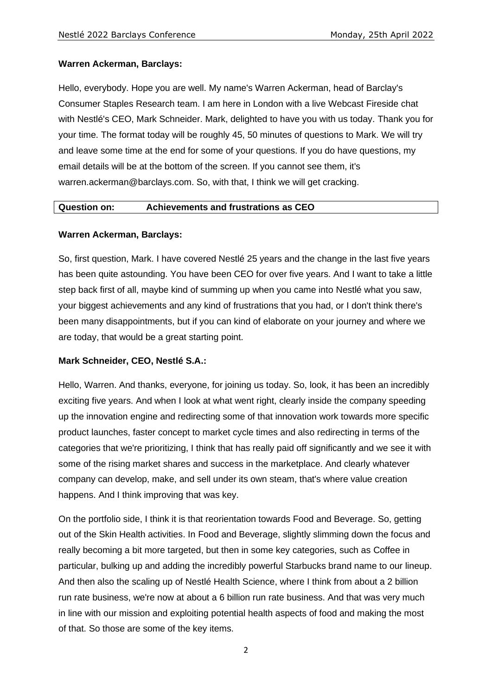# **Warren Ackerman, Barclays:**

Hello, everybody. Hope you are well. My name's Warren Ackerman, head of Barclay's Consumer Staples Research team. I am here in London with a live Webcast Fireside chat with Nestlé's CEO, Mark Schneider. Mark, delighted to have you with us today. Thank you for your time. The format today will be roughly 45, 50 minutes of questions to Mark. We will try and leave some time at the end for some of your questions. If you do have questions, my email details will be at the bottom of the screen. If you cannot see them, it's warren.ackerman@barclays.com. So, with that, I think we will get cracking.

#### **Question on: Achievements and frustrations as CEO**

#### **Warren Ackerman, Barclays:**

So, first question, Mark. I have covered Nestlé 25 years and the change in the last five years has been quite astounding. You have been CEO for over five years. And I want to take a little step back first of all, maybe kind of summing up when you came into Nestlé what you saw, your biggest achievements and any kind of frustrations that you had, or I don't think there's been many disappointments, but if you can kind of elaborate on your journey and where we are today, that would be a great starting point.

#### **Mark Schneider, CEO, Nestlé S.A.:**

Hello, Warren. And thanks, everyone, for joining us today. So, look, it has been an incredibly exciting five years. And when I look at what went right, clearly inside the company speeding up the innovation engine and redirecting some of that innovation work towards more specific product launches, faster concept to market cycle times and also redirecting in terms of the categories that we're prioritizing, I think that has really paid off significantly and we see it with some of the rising market shares and success in the marketplace. And clearly whatever company can develop, make, and sell under its own steam, that's where value creation happens. And I think improving that was key.

On the portfolio side, I think it is that reorientation towards Food and Beverage. So, getting out of the Skin Health activities. In Food and Beverage, slightly slimming down the focus and really becoming a bit more targeted, but then in some key categories, such as Coffee in particular, bulking up and adding the incredibly powerful Starbucks brand name to our lineup. And then also the scaling up of Nestlé Health Science, where I think from about a 2 billion run rate business, we're now at about a 6 billion run rate business. And that was very much in line with our mission and exploiting potential health aspects of food and making the most of that. So those are some of the key items.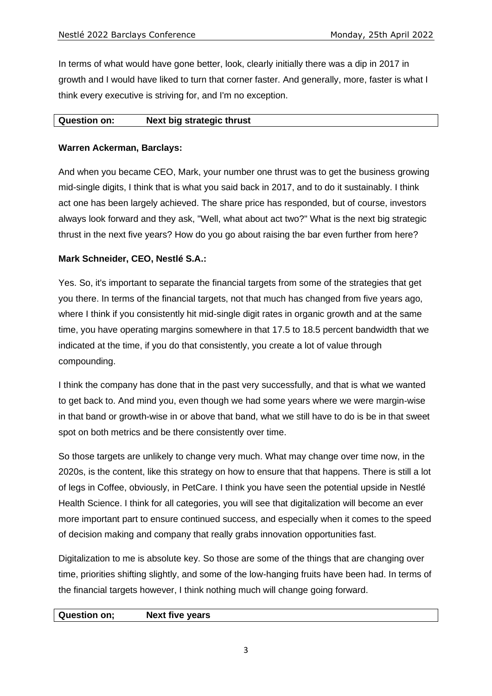In terms of what would have gone better, look, clearly initially there was a dip in 2017 in growth and I would have liked to turn that corner faster. And generally, more, faster is what I think every executive is striving for, and I'm no exception.

#### **Question on: Next big strategic thrust**

# **Warren Ackerman, Barclays:**

And when you became CEO, Mark, your number one thrust was to get the business growing mid-single digits, I think that is what you said back in 2017, and to do it sustainably. I think act one has been largely achieved. The share price has responded, but of course, investors always look forward and they ask, "Well, what about act two?" What is the next big strategic thrust in the next five years? How do you go about raising the bar even further from here?

# **Mark Schneider, CEO, Nestlé S.A.:**

Yes. So, it's important to separate the financial targets from some of the strategies that get you there. In terms of the financial targets, not that much has changed from five years ago, where I think if you consistently hit mid-single digit rates in organic growth and at the same time, you have operating margins somewhere in that 17.5 to 18.5 percent bandwidth that we indicated at the time, if you do that consistently, you create a lot of value through compounding.

I think the company has done that in the past very successfully, and that is what we wanted to get back to. And mind you, even though we had some years where we were margin-wise in that band or growth-wise in or above that band, what we still have to do is be in that sweet spot on both metrics and be there consistently over time.

So those targets are unlikely to change very much. What may change over time now, in the 2020s, is the content, like this strategy on how to ensure that that happens. There is still a lot of legs in Coffee, obviously, in PetCare. I think you have seen the potential upside in Nestlé Health Science. I think for all categories, you will see that digitalization will become an ever more important part to ensure continued success, and especially when it comes to the speed of decision making and company that really grabs innovation opportunities fast.

Digitalization to me is absolute key. So those are some of the things that are changing over time, priorities shifting slightly, and some of the low-hanging fruits have been had. In terms of the financial targets however, I think nothing much will change going forward.

#### **Question on; Next five years**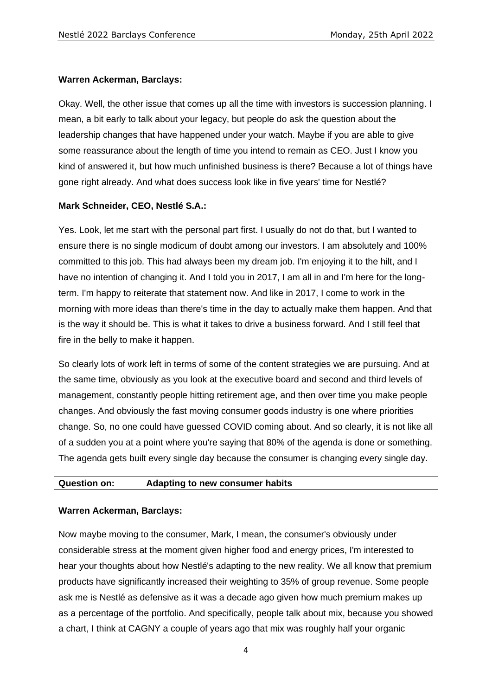#### **Warren Ackerman, Barclays:**

Okay. Well, the other issue that comes up all the time with investors is succession planning. I mean, a bit early to talk about your legacy, but people do ask the question about the leadership changes that have happened under your watch. Maybe if you are able to give some reassurance about the length of time you intend to remain as CEO. Just I know you kind of answered it, but how much unfinished business is there? Because a lot of things have gone right already. And what does success look like in five years' time for Nestlé?

#### **Mark Schneider, CEO, Nestlé S.A.:**

Yes. Look, let me start with the personal part first. I usually do not do that, but I wanted to ensure there is no single modicum of doubt among our investors. I am absolutely and 100% committed to this job. This had always been my dream job. I'm enjoying it to the hilt, and I have no intention of changing it. And I told you in 2017, I am all in and I'm here for the longterm. I'm happy to reiterate that statement now. And like in 2017, I come to work in the morning with more ideas than there's time in the day to actually make them happen. And that is the way it should be. This is what it takes to drive a business forward. And I still feel that fire in the belly to make it happen.

So clearly lots of work left in terms of some of the content strategies we are pursuing. And at the same time, obviously as you look at the executive board and second and third levels of management, constantly people hitting retirement age, and then over time you make people changes. And obviously the fast moving consumer goods industry is one where priorities change. So, no one could have guessed COVID coming about. And so clearly, it is not like all of a sudden you at a point where you're saying that 80% of the agenda is done or something. The agenda gets built every single day because the consumer is changing every single day.

#### **Question on: Adapting to new consumer habits**

#### **Warren Ackerman, Barclays:**

Now maybe moving to the consumer, Mark, I mean, the consumer's obviously under considerable stress at the moment given higher food and energy prices, I'm interested to hear your thoughts about how Nestlé's adapting to the new reality. We all know that premium products have significantly increased their weighting to 35% of group revenue. Some people ask me is Nestlé as defensive as it was a decade ago given how much premium makes up as a percentage of the portfolio. And specifically, people talk about mix, because you showed a chart, I think at CAGNY a couple of years ago that mix was roughly half your organic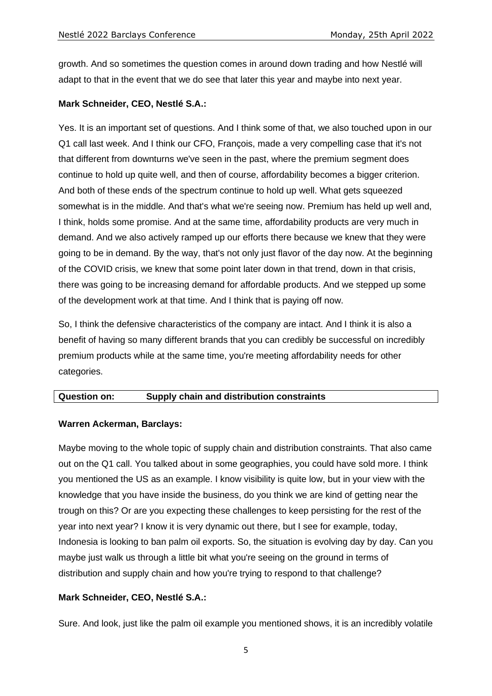growth. And so sometimes the question comes in around down trading and how Nestlé will adapt to that in the event that we do see that later this year and maybe into next year.

#### **Mark Schneider, CEO, Nestlé S.A.:**

Yes. It is an important set of questions. And I think some of that, we also touched upon in our Q1 call last week. And I think our CFO, François, made a very compelling case that it's not that different from downturns we've seen in the past, where the premium segment does continue to hold up quite well, and then of course, affordability becomes a bigger criterion. And both of these ends of the spectrum continue to hold up well. What gets squeezed somewhat is in the middle. And that's what we're seeing now. Premium has held up well and, I think, holds some promise. And at the same time, affordability products are very much in demand. And we also actively ramped up our efforts there because we knew that they were going to be in demand. By the way, that's not only just flavor of the day now. At the beginning of the COVID crisis, we knew that some point later down in that trend, down in that crisis, there was going to be increasing demand for affordable products. And we stepped up some of the development work at that time. And I think that is paying off now.

So, I think the defensive characteristics of the company are intact. And I think it is also a benefit of having so many different brands that you can credibly be successful on incredibly premium products while at the same time, you're meeting affordability needs for other categories.

#### **Question on: Supply chain and distribution constraints**

#### **Warren Ackerman, Barclays:**

Maybe moving to the whole topic of supply chain and distribution constraints. That also came out on the Q1 call. You talked about in some geographies, you could have sold more. I think you mentioned the US as an example. I know visibility is quite low, but in your view with the knowledge that you have inside the business, do you think we are kind of getting near the trough on this? Or are you expecting these challenges to keep persisting for the rest of the year into next year? I know it is very dynamic out there, but I see for example, today, Indonesia is looking to ban palm oil exports. So, the situation is evolving day by day. Can you maybe just walk us through a little bit what you're seeing on the ground in terms of distribution and supply chain and how you're trying to respond to that challenge?

# **Mark Schneider, CEO, Nestlé S.A.:**

Sure. And look, just like the palm oil example you mentioned shows, it is an incredibly volatile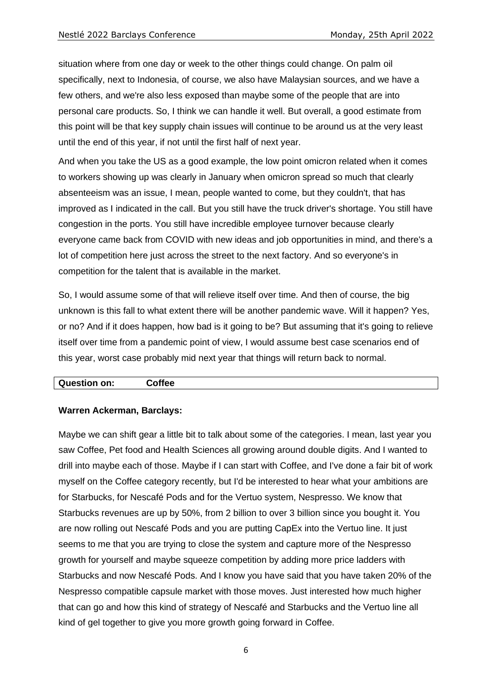situation where from one day or week to the other things could change. On palm oil specifically, next to Indonesia, of course, we also have Malaysian sources, and we have a few others, and we're also less exposed than maybe some of the people that are into personal care products. So, I think we can handle it well. But overall, a good estimate from this point will be that key supply chain issues will continue to be around us at the very least until the end of this year, if not until the first half of next year.

And when you take the US as a good example, the low point omicron related when it comes to workers showing up was clearly in January when omicron spread so much that clearly absenteeism was an issue, I mean, people wanted to come, but they couldn't, that has improved as I indicated in the call. But you still have the truck driver's shortage. You still have congestion in the ports. You still have incredible employee turnover because clearly everyone came back from COVID with new ideas and job opportunities in mind, and there's a lot of competition here just across the street to the next factory. And so everyone's in competition for the talent that is available in the market.

So, I would assume some of that will relieve itself over time. And then of course, the big unknown is this fall to what extent there will be another pandemic wave. Will it happen? Yes, or no? And if it does happen, how bad is it going to be? But assuming that it's going to relieve itself over time from a pandemic point of view, I would assume best case scenarios end of this year, worst case probably mid next year that things will return back to normal.

| <b>Question on:</b> | $C$ offee |  |
|---------------------|-----------|--|
|---------------------|-----------|--|

#### **Warren Ackerman, Barclays:**

Maybe we can shift gear a little bit to talk about some of the categories. I mean, last year you saw Coffee, Pet food and Health Sciences all growing around double digits. And I wanted to drill into maybe each of those. Maybe if I can start with Coffee, and I've done a fair bit of work myself on the Coffee category recently, but I'd be interested to hear what your ambitions are for Starbucks, for Nescafé Pods and for the Vertuo system, Nespresso. We know that Starbucks revenues are up by 50%, from 2 billion to over 3 billion since you bought it. You are now rolling out Nescafé Pods and you are putting CapEx into the Vertuo line. It just seems to me that you are trying to close the system and capture more of the Nespresso growth for yourself and maybe squeeze competition by adding more price ladders with Starbucks and now Nescafé Pods. And I know you have said that you have taken 20% of the Nespresso compatible capsule market with those moves. Just interested how much higher that can go and how this kind of strategy of Nescafé and Starbucks and the Vertuo line all kind of gel together to give you more growth going forward in Coffee.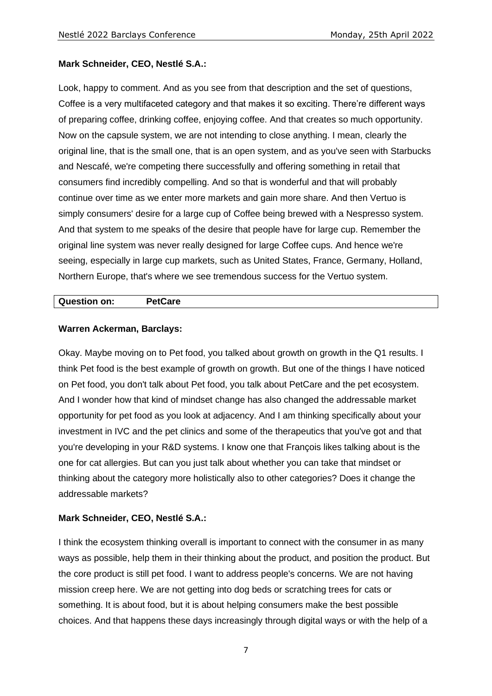#### **Mark Schneider, CEO, Nestlé S.A.:**

Look, happy to comment. And as you see from that description and the set of questions, Coffee is a very multifaceted category and that makes it so exciting. There're different ways of preparing coffee, drinking coffee, enjoying coffee. And that creates so much opportunity. Now on the capsule system, we are not intending to close anything. I mean, clearly the original line, that is the small one, that is an open system, and as you've seen with Starbucks and Nescafé, we're competing there successfully and offering something in retail that consumers find incredibly compelling. And so that is wonderful and that will probably continue over time as we enter more markets and gain more share. And then Vertuo is simply consumers' desire for a large cup of Coffee being brewed with a Nespresso system. And that system to me speaks of the desire that people have for large cup. Remember the original line system was never really designed for large Coffee cups. And hence we're seeing, especially in large cup markets, such as United States, France, Germany, Holland, Northern Europe, that's where we see tremendous success for the Vertuo system.

#### **Question on: PetCare**

#### **Warren Ackerman, Barclays:**

Okay. Maybe moving on to Pet food, you talked about growth on growth in the Q1 results. I think Pet food is the best example of growth on growth. But one of the things I have noticed on Pet food, you don't talk about Pet food, you talk about PetCare and the pet ecosystem. And I wonder how that kind of mindset change has also changed the addressable market opportunity for pet food as you look at adjacency. And I am thinking specifically about your investment in IVC and the pet clinics and some of the therapeutics that you've got and that you're developing in your R&D systems. I know one that François likes talking about is the one for cat allergies. But can you just talk about whether you can take that mindset or thinking about the category more holistically also to other categories? Does it change the addressable markets?

#### **Mark Schneider, CEO, Nestlé S.A.:**

I think the ecosystem thinking overall is important to connect with the consumer in as many ways as possible, help them in their thinking about the product, and position the product. But the core product is still pet food. I want to address people's concerns. We are not having mission creep here. We are not getting into dog beds or scratching trees for cats or something. It is about food, but it is about helping consumers make the best possible choices. And that happens these days increasingly through digital ways or with the help of a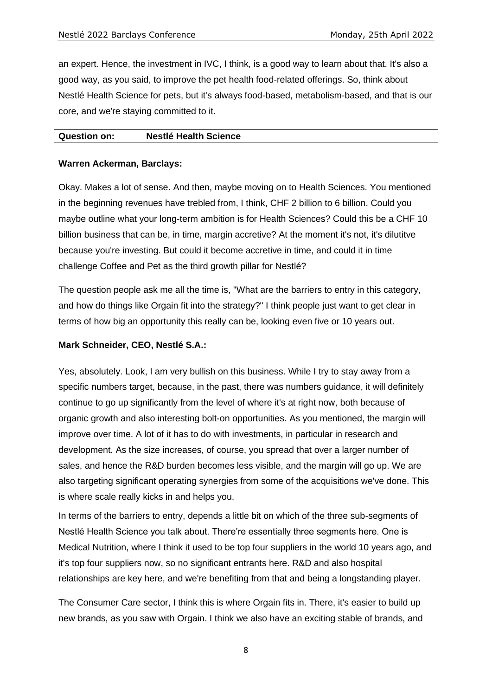an expert. Hence, the investment in IVC, I think, is a good way to learn about that. It's also a good way, as you said, to improve the pet health food-related offerings. So, think about Nestlé Health Science for pets, but it's always food-based, metabolism-based, and that is our core, and we're staying committed to it.

#### **Question on: Nestlé Health Science**

#### **Warren Ackerman, Barclays:**

Okay. Makes a lot of sense. And then, maybe moving on to Health Sciences. You mentioned in the beginning revenues have trebled from, I think, CHF 2 billion to 6 billion. Could you maybe outline what your long-term ambition is for Health Sciences? Could this be a CHF 10 billion business that can be, in time, margin accretive? At the moment it's not, it's dilutitve because you're investing. But could it become accretive in time, and could it in time challenge Coffee and Pet as the third growth pillar for Nestlé?

The question people ask me all the time is, "What are the barriers to entry in this category, and how do things like Orgain fit into the strategy?" I think people just want to get clear in terms of how big an opportunity this really can be, looking even five or 10 years out.

# **Mark Schneider, CEO, Nestlé S.A.:**

Yes, absolutely. Look, I am very bullish on this business. While I try to stay away from a specific numbers target, because, in the past, there was numbers guidance, it will definitely continue to go up significantly from the level of where it's at right now, both because of organic growth and also interesting bolt-on opportunities. As you mentioned, the margin will improve over time. A lot of it has to do with investments, in particular in research and development. As the size increases, of course, you spread that over a larger number of sales, and hence the R&D burden becomes less visible, and the margin will go up. We are also targeting significant operating synergies from some of the acquisitions we've done. This is where scale really kicks in and helps you.

In terms of the barriers to entry, depends a little bit on which of the three sub-segments of Nestlé Health Science you talk about. There're essentially three segments here. One is Medical Nutrition, where I think it used to be top four suppliers in the world 10 years ago, and it's top four suppliers now, so no significant entrants here. R&D and also hospital relationships are key here, and we're benefiting from that and being a longstanding player.

The Consumer Care sector, I think this is where Orgain fits in. There, it's easier to build up new brands, as you saw with Orgain. I think we also have an exciting stable of brands, and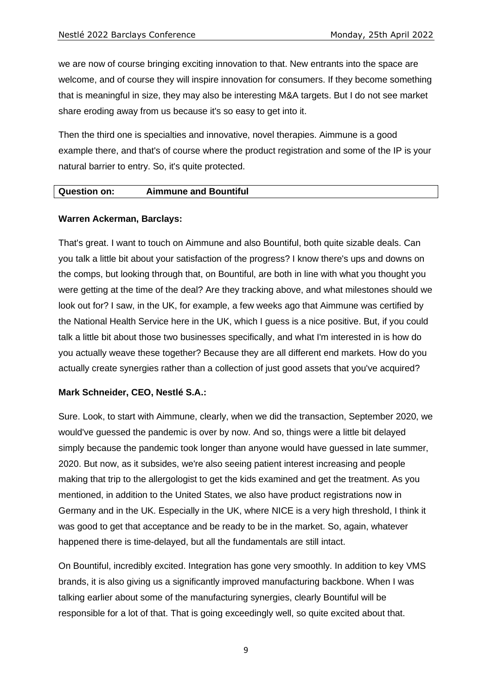we are now of course bringing exciting innovation to that. New entrants into the space are welcome, and of course they will inspire innovation for consumers. If they become something that is meaningful in size, they may also be interesting M&A targets. But I do not see market share eroding away from us because it's so easy to get into it.

Then the third one is specialties and innovative, novel therapies. Aimmune is a good example there, and that's of course where the product registration and some of the IP is your natural barrier to entry. So, it's quite protected.

#### **Question on: Aimmune and Bountiful**

#### **Warren Ackerman, Barclays:**

That's great. I want to touch on Aimmune and also Bountiful, both quite sizable deals. Can you talk a little bit about your satisfaction of the progress? I know there's ups and downs on the comps, but looking through that, on Bountiful, are both in line with what you thought you were getting at the time of the deal? Are they tracking above, and what milestones should we look out for? I saw, in the UK, for example, a few weeks ago that Aimmune was certified by the National Health Service here in the UK, which I guess is a nice positive. But, if you could talk a little bit about those two businesses specifically, and what I'm interested in is how do you actually weave these together? Because they are all different end markets. How do you actually create synergies rather than a collection of just good assets that you've acquired?

#### **Mark Schneider, CEO, Nestlé S.A.:**

Sure. Look, to start with Aimmune, clearly, when we did the transaction, September 2020, we would've guessed the pandemic is over by now. And so, things were a little bit delayed simply because the pandemic took longer than anyone would have guessed in late summer, 2020. But now, as it subsides, we're also seeing patient interest increasing and people making that trip to the allergologist to get the kids examined and get the treatment. As you mentioned, in addition to the United States, we also have product registrations now in Germany and in the UK. Especially in the UK, where NICE is a very high threshold, I think it was good to get that acceptance and be ready to be in the market. So, again, whatever happened there is time-delayed, but all the fundamentals are still intact.

On Bountiful, incredibly excited. Integration has gone very smoothly. In addition to key VMS brands, it is also giving us a significantly improved manufacturing backbone. When I was talking earlier about some of the manufacturing synergies, clearly Bountiful will be responsible for a lot of that. That is going exceedingly well, so quite excited about that.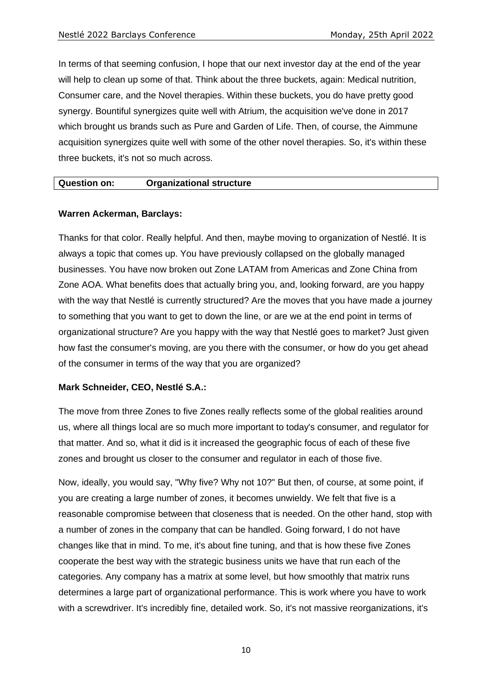In terms of that seeming confusion, I hope that our next investor day at the end of the year will help to clean up some of that. Think about the three buckets, again: Medical nutrition, Consumer care, and the Novel therapies. Within these buckets, you do have pretty good synergy. Bountiful synergizes quite well with Atrium, the acquisition we've done in 2017 which brought us brands such as Pure and Garden of Life. Then, of course, the Aimmune acquisition synergizes quite well with some of the other novel therapies. So, it's within these three buckets, it's not so much across.

#### **Question on: Organizational structure**

#### **Warren Ackerman, Barclays:**

Thanks for that color. Really helpful. And then, maybe moving to organization of Nestlé. It is always a topic that comes up. You have previously collapsed on the globally managed businesses. You have now broken out Zone LATAM from Americas and Zone China from Zone AOA. What benefits does that actually bring you, and, looking forward, are you happy with the way that Nestlé is currently structured? Are the moves that you have made a journey to something that you want to get to down the line, or are we at the end point in terms of organizational structure? Are you happy with the way that Nestlé goes to market? Just given how fast the consumer's moving, are you there with the consumer, or how do you get ahead of the consumer in terms of the way that you are organized?

#### **Mark Schneider, CEO, Nestlé S.A.:**

The move from three Zones to five Zones really reflects some of the global realities around us, where all things local are so much more important to today's consumer, and regulator for that matter. And so, what it did is it increased the geographic focus of each of these five zones and brought us closer to the consumer and regulator in each of those five.

Now, ideally, you would say, "Why five? Why not 10?" But then, of course, at some point, if you are creating a large number of zones, it becomes unwieldy. We felt that five is a reasonable compromise between that closeness that is needed. On the other hand, stop with a number of zones in the company that can be handled. Going forward, I do not have changes like that in mind. To me, it's about fine tuning, and that is how these five Zones cooperate the best way with the strategic business units we have that run each of the categories. Any company has a matrix at some level, but how smoothly that matrix runs determines a large part of organizational performance. This is work where you have to work with a screwdriver. It's incredibly fine, detailed work. So, it's not massive reorganizations, it's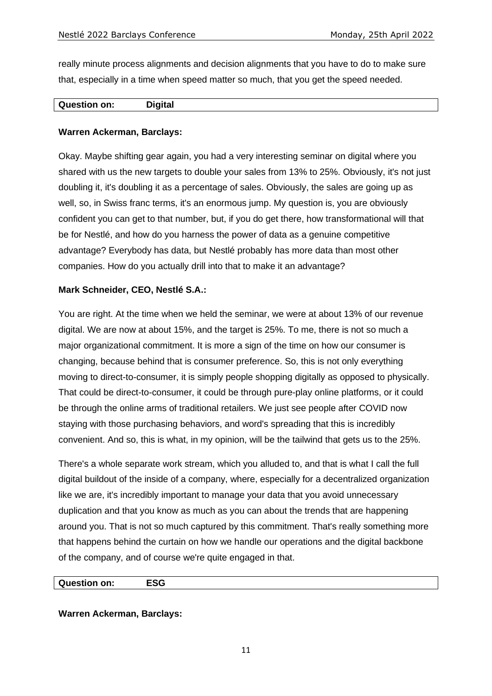really minute process alignments and decision alignments that you have to do to make sure that, especially in a time when speed matter so much, that you get the speed needed.

#### **Question on: Digital**

#### **Warren Ackerman, Barclays:**

Okay. Maybe shifting gear again, you had a very interesting seminar on digital where you shared with us the new targets to double your sales from 13% to 25%. Obviously, it's not just doubling it, it's doubling it as a percentage of sales. Obviously, the sales are going up as well, so, in Swiss franc terms, it's an enormous jump. My question is, you are obviously confident you can get to that number, but, if you do get there, how transformational will that be for Nestlé, and how do you harness the power of data as a genuine competitive advantage? Everybody has data, but Nestlé probably has more data than most other companies. How do you actually drill into that to make it an advantage?

#### **Mark Schneider, CEO, Nestlé S.A.:**

You are right. At the time when we held the seminar, we were at about 13% of our revenue digital. We are now at about 15%, and the target is 25%. To me, there is not so much a major organizational commitment. It is more a sign of the time on how our consumer is changing, because behind that is consumer preference. So, this is not only everything moving to direct-to-consumer, it is simply people shopping digitally as opposed to physically. That could be direct-to-consumer, it could be through pure-play online platforms, or it could be through the online arms of traditional retailers. We just see people after COVID now staying with those purchasing behaviors, and word's spreading that this is incredibly convenient. And so, this is what, in my opinion, will be the tailwind that gets us to the 25%.

There's a whole separate work stream, which you alluded to, and that is what I call the full digital buildout of the inside of a company, where, especially for a decentralized organization like we are, it's incredibly important to manage your data that you avoid unnecessary duplication and that you know as much as you can about the trends that are happening around you. That is not so much captured by this commitment. That's really something more that happens behind the curtain on how we handle our operations and the digital backbone of the company, and of course we're quite engaged in that.

#### **Question on: ESG**

#### **Warren Ackerman, Barclays:**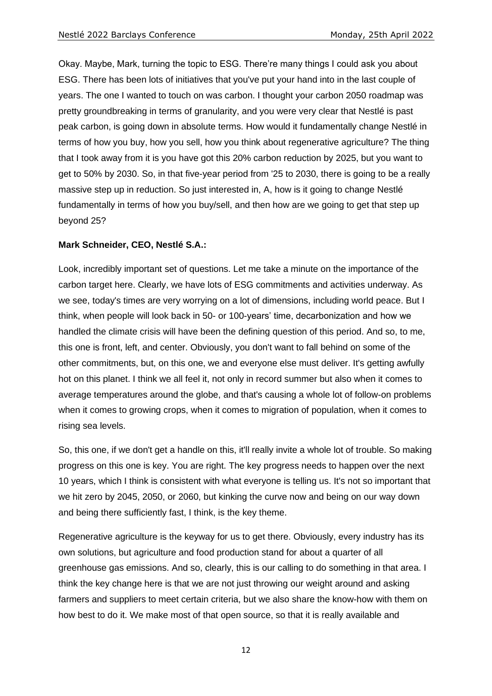Okay. Maybe, Mark, turning the topic to ESG. There're many things I could ask you about ESG. There has been lots of initiatives that you've put your hand into in the last couple of years. The one I wanted to touch on was carbon. I thought your carbon 2050 roadmap was pretty groundbreaking in terms of granularity, and you were very clear that Nestlé is past peak carbon, is going down in absolute terms. How would it fundamentally change Nestlé in terms of how you buy, how you sell, how you think about regenerative agriculture? The thing that I took away from it is you have got this 20% carbon reduction by 2025, but you want to get to 50% by 2030. So, in that five-year period from '25 to 2030, there is going to be a really massive step up in reduction. So just interested in, A, how is it going to change Nestlé fundamentally in terms of how you buy/sell, and then how are we going to get that step up beyond 25?

#### **Mark Schneider, CEO, Nestlé S.A.:**

Look, incredibly important set of questions. Let me take a minute on the importance of the carbon target here. Clearly, we have lots of ESG commitments and activities underway. As we see, today's times are very worrying on a lot of dimensions, including world peace. But I think, when people will look back in 50- or 100-years' time, decarbonization and how we handled the climate crisis will have been the defining question of this period. And so, to me, this one is front, left, and center. Obviously, you don't want to fall behind on some of the other commitments, but, on this one, we and everyone else must deliver. It's getting awfully hot on this planet. I think we all feel it, not only in record summer but also when it comes to average temperatures around the globe, and that's causing a whole lot of follow-on problems when it comes to growing crops, when it comes to migration of population, when it comes to rising sea levels.

So, this one, if we don't get a handle on this, it'll really invite a whole lot of trouble. So making progress on this one is key. You are right. The key progress needs to happen over the next 10 years, which I think is consistent with what everyone is telling us. It's not so important that we hit zero by 2045, 2050, or 2060, but kinking the curve now and being on our way down and being there sufficiently fast, I think, is the key theme.

Regenerative agriculture is the keyway for us to get there. Obviously, every industry has its own solutions, but agriculture and food production stand for about a quarter of all greenhouse gas emissions. And so, clearly, this is our calling to do something in that area. I think the key change here is that we are not just throwing our weight around and asking farmers and suppliers to meet certain criteria, but we also share the know-how with them on how best to do it. We make most of that open source, so that it is really available and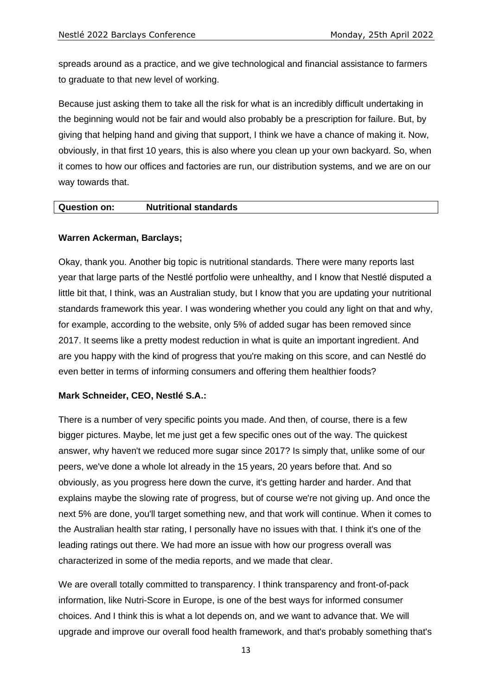spreads around as a practice, and we give technological and financial assistance to farmers to graduate to that new level of working.

Because just asking them to take all the risk for what is an incredibly difficult undertaking in the beginning would not be fair and would also probably be a prescription for failure. But, by giving that helping hand and giving that support, I think we have a chance of making it. Now, obviously, in that first 10 years, this is also where you clean up your own backyard. So, when it comes to how our offices and factories are run, our distribution systems, and we are on our way towards that.

#### **Question on: Nutritional standards**

#### **Warren Ackerman, Barclays;**

Okay, thank you. Another big topic is nutritional standards. There were many reports last year that large parts of the Nestlé portfolio were unhealthy, and I know that Nestlé disputed a little bit that, I think, was an Australian study, but I know that you are updating your nutritional standards framework this year. I was wondering whether you could any light on that and why, for example, according to the website, only 5% of added sugar has been removed since 2017. It seems like a pretty modest reduction in what is quite an important ingredient. And are you happy with the kind of progress that you're making on this score, and can Nestlé do even better in terms of informing consumers and offering them healthier foods?

#### **Mark Schneider, CEO, Nestlé S.A.:**

There is a number of very specific points you made. And then, of course, there is a few bigger pictures. Maybe, let me just get a few specific ones out of the way. The quickest answer, why haven't we reduced more sugar since 2017? Is simply that, unlike some of our peers, we've done a whole lot already in the 15 years, 20 years before that. And so obviously, as you progress here down the curve, it's getting harder and harder. And that explains maybe the slowing rate of progress, but of course we're not giving up. And once the next 5% are done, you'll target something new, and that work will continue. When it comes to the Australian health star rating, I personally have no issues with that. I think it's one of the leading ratings out there. We had more an issue with how our progress overall was characterized in some of the media reports, and we made that clear.

We are overall totally committed to transparency. I think transparency and front-of-pack information, like Nutri-Score in Europe, is one of the best ways for informed consumer choices. And I think this is what a lot depends on, and we want to advance that. We will upgrade and improve our overall food health framework, and that's probably something that's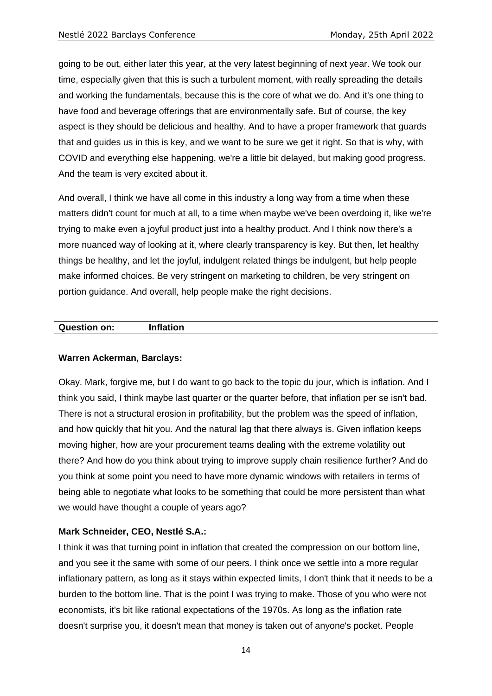going to be out, either later this year, at the very latest beginning of next year. We took our time, especially given that this is such a turbulent moment, with really spreading the details and working the fundamentals, because this is the core of what we do. And it's one thing to have food and beverage offerings that are environmentally safe. But of course, the key aspect is they should be delicious and healthy. And to have a proper framework that guards that and guides us in this is key, and we want to be sure we get it right. So that is why, with COVID and everything else happening, we're a little bit delayed, but making good progress. And the team is very excited about it.

And overall, I think we have all come in this industry a long way from a time when these matters didn't count for much at all, to a time when maybe we've been overdoing it, like we're trying to make even a joyful product just into a healthy product. And I think now there's a more nuanced way of looking at it, where clearly transparency is key. But then, let healthy things be healthy, and let the joyful, indulgent related things be indulgent, but help people make informed choices. Be very stringent on marketing to children, be very stringent on portion guidance. And overall, help people make the right decisions.

# **Question on: Inflation**

# **Warren Ackerman, Barclays:**

Okay. Mark, forgive me, but I do want to go back to the topic du jour, which is inflation. And I think you said, I think maybe last quarter or the quarter before, that inflation per se isn't bad. There is not a structural erosion in profitability, but the problem was the speed of inflation, and how quickly that hit you. And the natural lag that there always is. Given inflation keeps moving higher, how are your procurement teams dealing with the extreme volatility out there? And how do you think about trying to improve supply chain resilience further? And do you think at some point you need to have more dynamic windows with retailers in terms of being able to negotiate what looks to be something that could be more persistent than what we would have thought a couple of years ago?

# **Mark Schneider, CEO, Nestlé S.A.:**

I think it was that turning point in inflation that created the compression on our bottom line, and you see it the same with some of our peers. I think once we settle into a more regular inflationary pattern, as long as it stays within expected limits, I don't think that it needs to be a burden to the bottom line. That is the point I was trying to make. Those of you who were not economists, it's bit like rational expectations of the 1970s. As long as the inflation rate doesn't surprise you, it doesn't mean that money is taken out of anyone's pocket. People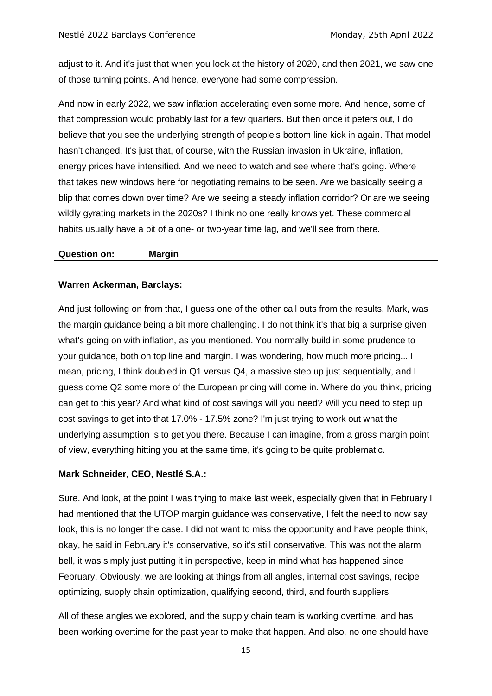adjust to it. And it's just that when you look at the history of 2020, and then 2021, we saw one of those turning points. And hence, everyone had some compression.

And now in early 2022, we saw inflation accelerating even some more. And hence, some of that compression would probably last for a few quarters. But then once it peters out, I do believe that you see the underlying strength of people's bottom line kick in again. That model hasn't changed. It's just that, of course, with the Russian invasion in Ukraine, inflation, energy prices have intensified. And we need to watch and see where that's going. Where that takes new windows here for negotiating remains to be seen. Are we basically seeing a blip that comes down over time? Are we seeing a steady inflation corridor? Or are we seeing wildly gyrating markets in the 2020s? I think no one really knows yet. These commercial habits usually have a bit of a one- or two-year time lag, and we'll see from there.

#### **Question on: Margin**

#### **Warren Ackerman, Barclays:**

And just following on from that, I guess one of the other call outs from the results, Mark, was the margin guidance being a bit more challenging. I do not think it's that big a surprise given what's going on with inflation, as you mentioned. You normally build in some prudence to your guidance, both on top line and margin. I was wondering, how much more pricing... I mean, pricing, I think doubled in Q1 versus Q4, a massive step up just sequentially, and I guess come Q2 some more of the European pricing will come in. Where do you think, pricing can get to this year? And what kind of cost savings will you need? Will you need to step up cost savings to get into that 17.0% - 17.5% zone? I'm just trying to work out what the underlying assumption is to get you there. Because I can imagine, from a gross margin point of view, everything hitting you at the same time, it's going to be quite problematic.

#### **Mark Schneider, CEO, Nestlé S.A.:**

Sure. And look, at the point I was trying to make last week, especially given that in February I had mentioned that the UTOP margin guidance was conservative, I felt the need to now say look, this is no longer the case. I did not want to miss the opportunity and have people think, okay, he said in February it's conservative, so it's still conservative. This was not the alarm bell, it was simply just putting it in perspective, keep in mind what has happened since February. Obviously, we are looking at things from all angles, internal cost savings, recipe optimizing, supply chain optimization, qualifying second, third, and fourth suppliers.

All of these angles we explored, and the supply chain team is working overtime, and has been working overtime for the past year to make that happen. And also, no one should have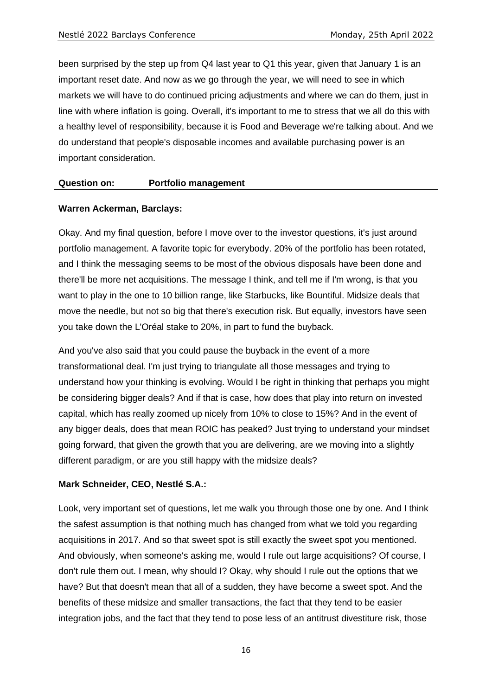been surprised by the step up from Q4 last year to Q1 this year, given that January 1 is an important reset date. And now as we go through the year, we will need to see in which markets we will have to do continued pricing adjustments and where we can do them, just in line with where inflation is going. Overall, it's important to me to stress that we all do this with a healthy level of responsibility, because it is Food and Beverage we're talking about. And we do understand that people's disposable incomes and available purchasing power is an important consideration.

#### **Question on: Portfolio management**

#### **Warren Ackerman, Barclays:**

Okay. And my final question, before I move over to the investor questions, it's just around portfolio management. A favorite topic for everybody. 20% of the portfolio has been rotated, and I think the messaging seems to be most of the obvious disposals have been done and there'll be more net acquisitions. The message I think, and tell me if I'm wrong, is that you want to play in the one to 10 billion range, like Starbucks, like Bountiful. Midsize deals that move the needle, but not so big that there's execution risk. But equally, investors have seen you take down the L'Oréal stake to 20%, in part to fund the buyback.

And you've also said that you could pause the buyback in the event of a more transformational deal. I'm just trying to triangulate all those messages and trying to understand how your thinking is evolving. Would I be right in thinking that perhaps you might be considering bigger deals? And if that is case, how does that play into return on invested capital, which has really zoomed up nicely from 10% to close to 15%? And in the event of any bigger deals, does that mean ROIC has peaked? Just trying to understand your mindset going forward, that given the growth that you are delivering, are we moving into a slightly different paradigm, or are you still happy with the midsize deals?

#### **Mark Schneider, CEO, Nestlé S.A.:**

Look, very important set of questions, let me walk you through those one by one. And I think the safest assumption is that nothing much has changed from what we told you regarding acquisitions in 2017. And so that sweet spot is still exactly the sweet spot you mentioned. And obviously, when someone's asking me, would I rule out large acquisitions? Of course, I don't rule them out. I mean, why should I? Okay, why should I rule out the options that we have? But that doesn't mean that all of a sudden, they have become a sweet spot. And the benefits of these midsize and smaller transactions, the fact that they tend to be easier integration jobs, and the fact that they tend to pose less of an antitrust divestiture risk, those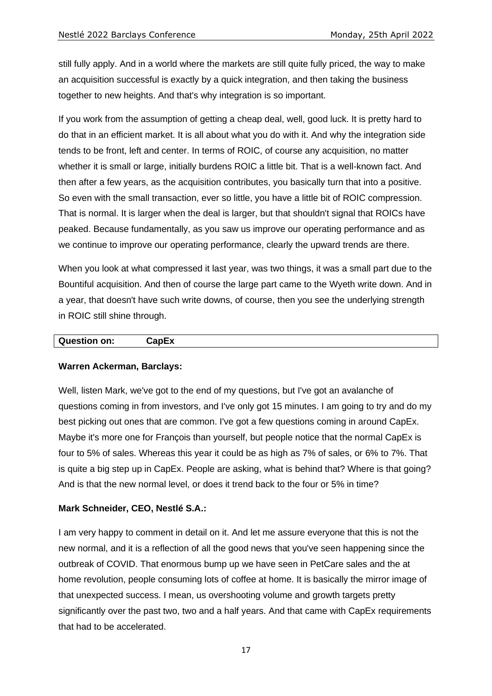still fully apply. And in a world where the markets are still quite fully priced, the way to make an acquisition successful is exactly by a quick integration, and then taking the business together to new heights. And that's why integration is so important.

If you work from the assumption of getting a cheap deal, well, good luck. It is pretty hard to do that in an efficient market. It is all about what you do with it. And why the integration side tends to be front, left and center. In terms of ROIC, of course any acquisition, no matter whether it is small or large, initially burdens ROIC a little bit. That is a well-known fact. And then after a few years, as the acquisition contributes, you basically turn that into a positive. So even with the small transaction, ever so little, you have a little bit of ROIC compression. That is normal. It is larger when the deal is larger, but that shouldn't signal that ROICs have peaked. Because fundamentally, as you saw us improve our operating performance and as we continue to improve our operating performance, clearly the upward trends are there.

When you look at what compressed it last year, was two things, it was a small part due to the Bountiful acquisition. And then of course the large part came to the Wyeth write down. And in a year, that doesn't have such write downs, of course, then you see the underlying strength in ROIC still shine through.

# **Question on: CapEx**

# **Warren Ackerman, Barclays:**

Well, listen Mark, we've got to the end of my questions, but I've got an avalanche of questions coming in from investors, and I've only got 15 minutes. I am going to try and do my best picking out ones that are common. I've got a few questions coming in around CapEx. Maybe it's more one for François than yourself, but people notice that the normal CapEx is four to 5% of sales. Whereas this year it could be as high as 7% of sales, or 6% to 7%. That is quite a big step up in CapEx. People are asking, what is behind that? Where is that going? And is that the new normal level, or does it trend back to the four or 5% in time?

# **Mark Schneider, CEO, Nestlé S.A.:**

I am very happy to comment in detail on it. And let me assure everyone that this is not the new normal, and it is a reflection of all the good news that you've seen happening since the outbreak of COVID. That enormous bump up we have seen in PetCare sales and the at home revolution, people consuming lots of coffee at home. It is basically the mirror image of that unexpected success. I mean, us overshooting volume and growth targets pretty significantly over the past two, two and a half years. And that came with CapEx requirements that had to be accelerated.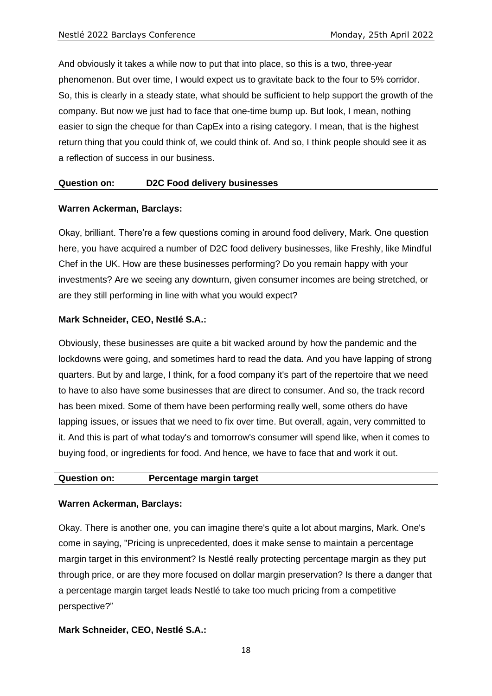And obviously it takes a while now to put that into place, so this is a two, three-year phenomenon. But over time, I would expect us to gravitate back to the four to 5% corridor. So, this is clearly in a steady state, what should be sufficient to help support the growth of the company. But now we just had to face that one-time bump up. But look, I mean, nothing easier to sign the cheque for than CapEx into a rising category. I mean, that is the highest return thing that you could think of, we could think of. And so, I think people should see it as a reflection of success in our business.

#### **Question on: D2C Food delivery businesses**

#### **Warren Ackerman, Barclays:**

Okay, brilliant. There're a few questions coming in around food delivery, Mark. One question here, you have acquired a number of D2C food delivery businesses, like Freshly, like Mindful Chef in the UK. How are these businesses performing? Do you remain happy with your investments? Are we seeing any downturn, given consumer incomes are being stretched, or are they still performing in line with what you would expect?

#### **Mark Schneider, CEO, Nestlé S.A.:**

Obviously, these businesses are quite a bit wacked around by how the pandemic and the lockdowns were going, and sometimes hard to read the data. And you have lapping of strong quarters. But by and large, I think, for a food company it's part of the repertoire that we need to have to also have some businesses that are direct to consumer. And so, the track record has been mixed. Some of them have been performing really well, some others do have lapping issues, or issues that we need to fix over time. But overall, again, very committed to it. And this is part of what today's and tomorrow's consumer will spend like, when it comes to buying food, or ingredients for food. And hence, we have to face that and work it out.

# **Question on: Percentage margin target**

#### **Warren Ackerman, Barclays:**

Okay. There is another one, you can imagine there's quite a lot about margins, Mark. One's come in saying, "Pricing is unprecedented, does it make sense to maintain a percentage margin target in this environment? Is Nestlé really protecting percentage margin as they put through price, or are they more focused on dollar margin preservation? Is there a danger that a percentage margin target leads Nestlé to take too much pricing from a competitive perspective?"

#### **Mark Schneider, CEO, Nestlé S.A.:**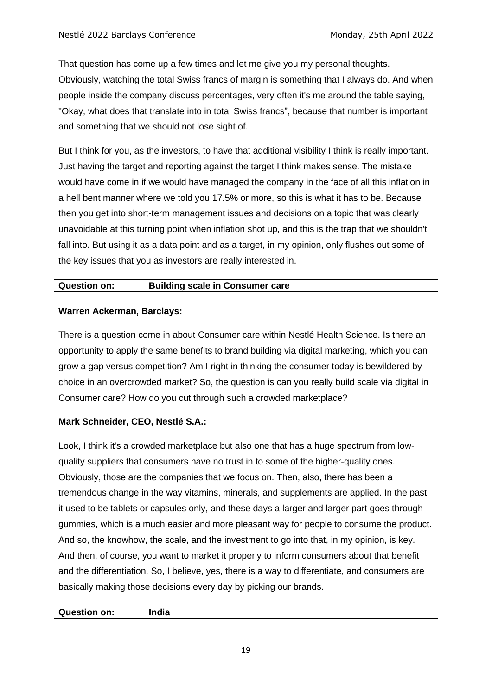That question has come up a few times and let me give you my personal thoughts. Obviously, watching the total Swiss francs of margin is something that I always do. And when people inside the company discuss percentages, very often it's me around the table saying, "Okay, what does that translate into in total Swiss francs", because that number is important and something that we should not lose sight of.

But I think for you, as the investors, to have that additional visibility I think is really important. Just having the target and reporting against the target I think makes sense. The mistake would have come in if we would have managed the company in the face of all this inflation in a hell bent manner where we told you 17.5% or more, so this is what it has to be. Because then you get into short-term management issues and decisions on a topic that was clearly unavoidable at this turning point when inflation shot up, and this is the trap that we shouldn't fall into. But using it as a data point and as a target, in my opinion, only flushes out some of the key issues that you as investors are really interested in.

# **Question on: Building scale in Consumer care**

# **Warren Ackerman, Barclays:**

There is a question come in about Consumer care within Nestlé Health Science. Is there an opportunity to apply the same benefits to brand building via digital marketing, which you can grow a gap versus competition? Am I right in thinking the consumer today is bewildered by choice in an overcrowded market? So, the question is can you really build scale via digital in Consumer care? How do you cut through such a crowded marketplace?

# **Mark Schneider, CEO, Nestlé S.A.:**

Look, I think it's a crowded marketplace but also one that has a huge spectrum from lowquality suppliers that consumers have no trust in to some of the higher-quality ones. Obviously, those are the companies that we focus on. Then, also, there has been a tremendous change in the way vitamins, minerals, and supplements are applied. In the past, it used to be tablets or capsules only, and these days a larger and larger part goes through gummies, which is a much easier and more pleasant way for people to consume the product. And so, the knowhow, the scale, and the investment to go into that, in my opinion, is key. And then, of course, you want to market it properly to inform consumers about that benefit and the differentiation. So, I believe, yes, there is a way to differentiate, and consumers are basically making those decisions every day by picking our brands.

**Question on: India**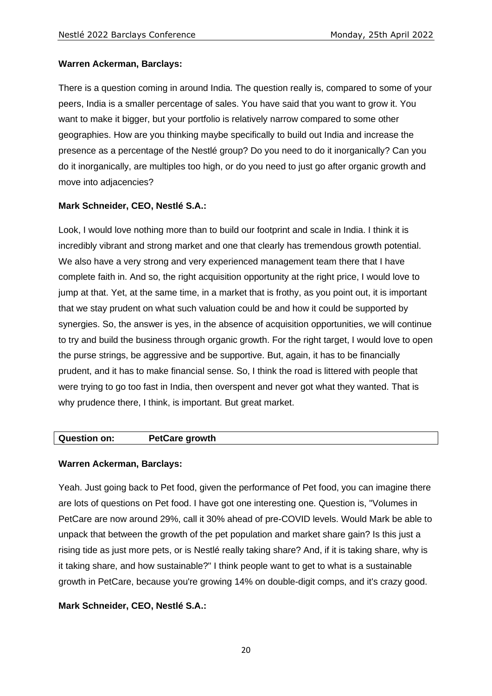# **Warren Ackerman, Barclays:**

There is a question coming in around India. The question really is, compared to some of your peers, India is a smaller percentage of sales. You have said that you want to grow it. You want to make it bigger, but your portfolio is relatively narrow compared to some other geographies. How are you thinking maybe specifically to build out India and increase the presence as a percentage of the Nestlé group? Do you need to do it inorganically? Can you do it inorganically, are multiples too high, or do you need to just go after organic growth and move into adjacencies?

# **Mark Schneider, CEO, Nestlé S.A.:**

Look, I would love nothing more than to build our footprint and scale in India. I think it is incredibly vibrant and strong market and one that clearly has tremendous growth potential. We also have a very strong and very experienced management team there that I have complete faith in. And so, the right acquisition opportunity at the right price, I would love to jump at that. Yet, at the same time, in a market that is frothy, as you point out, it is important that we stay prudent on what such valuation could be and how it could be supported by synergies. So, the answer is yes, in the absence of acquisition opportunities, we will continue to try and build the business through organic growth. For the right target, I would love to open the purse strings, be aggressive and be supportive. But, again, it has to be financially prudent, and it has to make financial sense. So, I think the road is littered with people that were trying to go too fast in India, then overspent and never got what they wanted. That is why prudence there, I think, is important. But great market.

# **Question on: PetCare growth**

# **Warren Ackerman, Barclays:**

Yeah. Just going back to Pet food, given the performance of Pet food, you can imagine there are lots of questions on Pet food. I have got one interesting one. Question is, "Volumes in PetCare are now around 29%, call it 30% ahead of pre-COVID levels. Would Mark be able to unpack that between the growth of the pet population and market share gain? Is this just a rising tide as just more pets, or is Nestlé really taking share? And, if it is taking share, why is it taking share, and how sustainable?" I think people want to get to what is a sustainable growth in PetCare, because you're growing 14% on double-digit comps, and it's crazy good.

# **Mark Schneider, CEO, Nestlé S.A.:**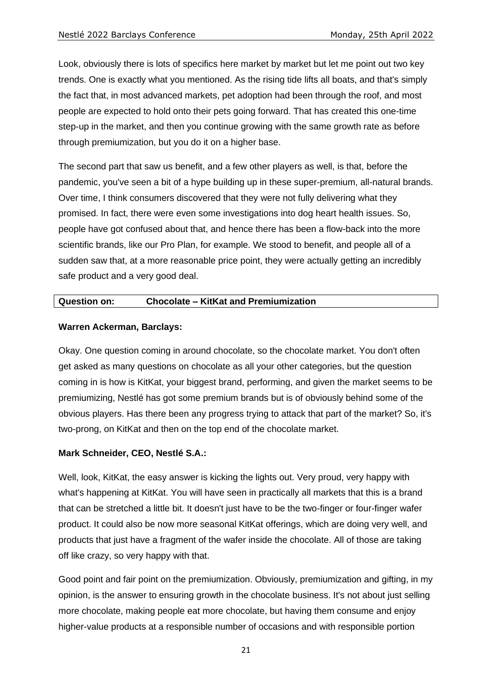Look, obviously there is lots of specifics here market by market but let me point out two key trends. One is exactly what you mentioned. As the rising tide lifts all boats, and that's simply the fact that, in most advanced markets, pet adoption had been through the roof, and most people are expected to hold onto their pets going forward. That has created this one-time step-up in the market, and then you continue growing with the same growth rate as before through premiumization, but you do it on a higher base.

The second part that saw us benefit, and a few other players as well, is that, before the pandemic, you've seen a bit of a hype building up in these super-premium, all-natural brands. Over time, I think consumers discovered that they were not fully delivering what they promised. In fact, there were even some investigations into dog heart health issues. So, people have got confused about that, and hence there has been a flow-back into the more scientific brands, like our Pro Plan, for example. We stood to benefit, and people all of a sudden saw that, at a more reasonable price point, they were actually getting an incredibly safe product and a very good deal.

#### **Question on: Chocolate – KitKat and Premiumization**

#### **Warren Ackerman, Barclays:**

Okay. One question coming in around chocolate, so the chocolate market. You don't often get asked as many questions on chocolate as all your other categories, but the question coming in is how is KitKat, your biggest brand, performing, and given the market seems to be premiumizing, Nestlé has got some premium brands but is of obviously behind some of the obvious players. Has there been any progress trying to attack that part of the market? So, it's two-prong, on KitKat and then on the top end of the chocolate market.

#### **Mark Schneider, CEO, Nestlé S.A.:**

Well, look, KitKat, the easy answer is kicking the lights out. Very proud, very happy with what's happening at KitKat. You will have seen in practically all markets that this is a brand that can be stretched a little bit. It doesn't just have to be the two-finger or four-finger wafer product. It could also be now more seasonal KitKat offerings, which are doing very well, and products that just have a fragment of the wafer inside the chocolate. All of those are taking off like crazy, so very happy with that.

Good point and fair point on the premiumization. Obviously, premiumization and gifting, in my opinion, is the answer to ensuring growth in the chocolate business. It's not about just selling more chocolate, making people eat more chocolate, but having them consume and enjoy higher-value products at a responsible number of occasions and with responsible portion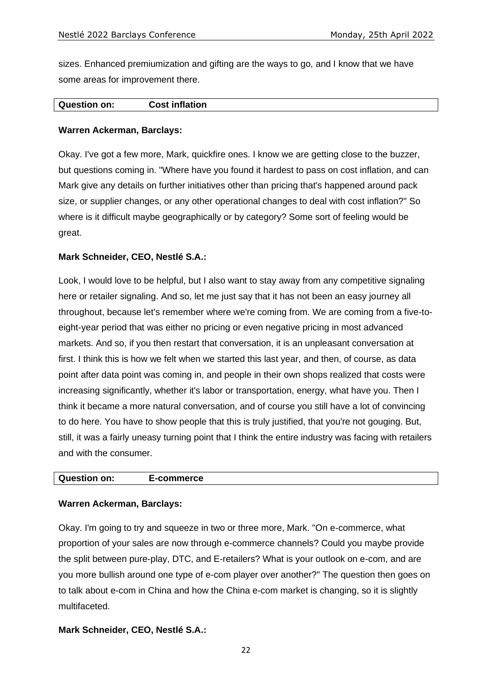sizes. Enhanced premiumization and gifting are the ways to go, and I know that we have some areas for improvement there.

#### **Question on: Cost inflation**

#### **Warren Ackerman, Barclays:**

Okay. I've got a few more, Mark, quickfire ones. I know we are getting close to the buzzer, but questions coming in. "Where have you found it hardest to pass on cost inflation, and can Mark give any details on further initiatives other than pricing that's happened around pack size, or supplier changes, or any other operational changes to deal with cost inflation?" So where is it difficult maybe geographically or by category? Some sort of feeling would be great.

#### **Mark Schneider, CEO, Nestlé S.A.:**

Look, I would love to be helpful, but I also want to stay away from any competitive signaling here or retailer signaling. And so, let me just say that it has not been an easy journey all throughout, because let's remember where we're coming from. We are coming from a five-toeight-year period that was either no pricing or even negative pricing in most advanced markets. And so, if you then restart that conversation, it is an unpleasant conversation at first. I think this is how we felt when we started this last year, and then, of course, as data point after data point was coming in, and people in their own shops realized that costs were increasing significantly, whether it's labor or transportation, energy, what have you. Then I think it became a more natural conversation, and of course you still have a lot of convincing to do here. You have to show people that this is truly justified, that you're not gouging. But, still, it was a fairly uneasy turning point that I think the entire industry was facing with retailers and with the consumer.

#### **Question on: E-commerce**

#### **Warren Ackerman, Barclays:**

Okay. I'm going to try and squeeze in two or three more, Mark. "On e-commerce, what proportion of your sales are now through e-commerce channels? Could you maybe provide the split between pure-play, DTC, and E-retailers? What is your outlook on e-com, and are you more bullish around one type of e-com player over another?" The question then goes on to talk about e-com in China and how the China e-com market is changing, so it is slightly multifaceted.

#### **Mark Schneider, CEO, Nestlé S.A.:**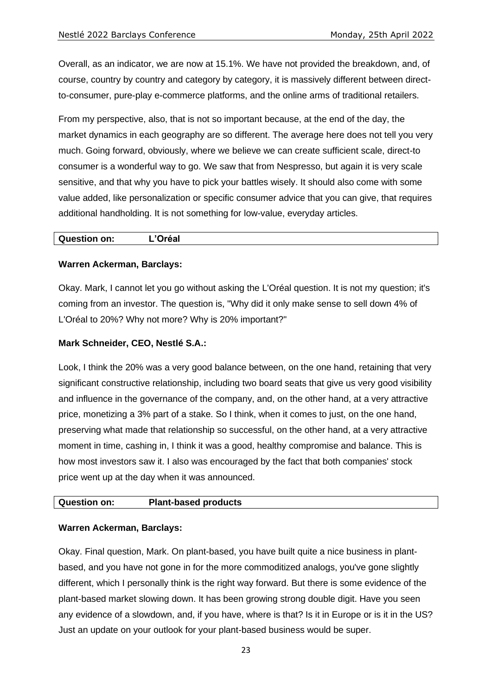Overall, as an indicator, we are now at 15.1%. We have not provided the breakdown, and, of course, country by country and category by category, it is massively different between directto-consumer, pure-play e-commerce platforms, and the online arms of traditional retailers.

From my perspective, also, that is not so important because, at the end of the day, the market dynamics in each geography are so different. The average here does not tell you very much. Going forward, obviously, where we believe we can create sufficient scale, direct-to consumer is a wonderful way to go. We saw that from Nespresso, but again it is very scale sensitive, and that why you have to pick your battles wisely. It should also come with some value added, like personalization or specific consumer advice that you can give, that requires additional handholding. It is not something for low-value, everyday articles.

# **Question on: L'Oréal**

# **Warren Ackerman, Barclays:**

Okay. Mark, I cannot let you go without asking the L'Oréal question. It is not my question; it's coming from an investor. The question is, "Why did it only make sense to sell down 4% of L'Oréal to 20%? Why not more? Why is 20% important?"

#### **Mark Schneider, CEO, Nestlé S.A.:**

Look, I think the 20% was a very good balance between, on the one hand, retaining that very significant constructive relationship, including two board seats that give us very good visibility and influence in the governance of the company, and, on the other hand, at a very attractive price, monetizing a 3% part of a stake. So I think, when it comes to just, on the one hand, preserving what made that relationship so successful, on the other hand, at a very attractive moment in time, cashing in, I think it was a good, healthy compromise and balance. This is how most investors saw it. I also was encouraged by the fact that both companies' stock price went up at the day when it was announced.

# **Question on: Plant-based products**

#### **Warren Ackerman, Barclays:**

Okay. Final question, Mark. On plant-based, you have built quite a nice business in plantbased, and you have not gone in for the more commoditized analogs, you've gone slightly different, which I personally think is the right way forward. But there is some evidence of the plant-based market slowing down. It has been growing strong double digit. Have you seen any evidence of a slowdown, and, if you have, where is that? Is it in Europe or is it in the US? Just an update on your outlook for your plant-based business would be super.